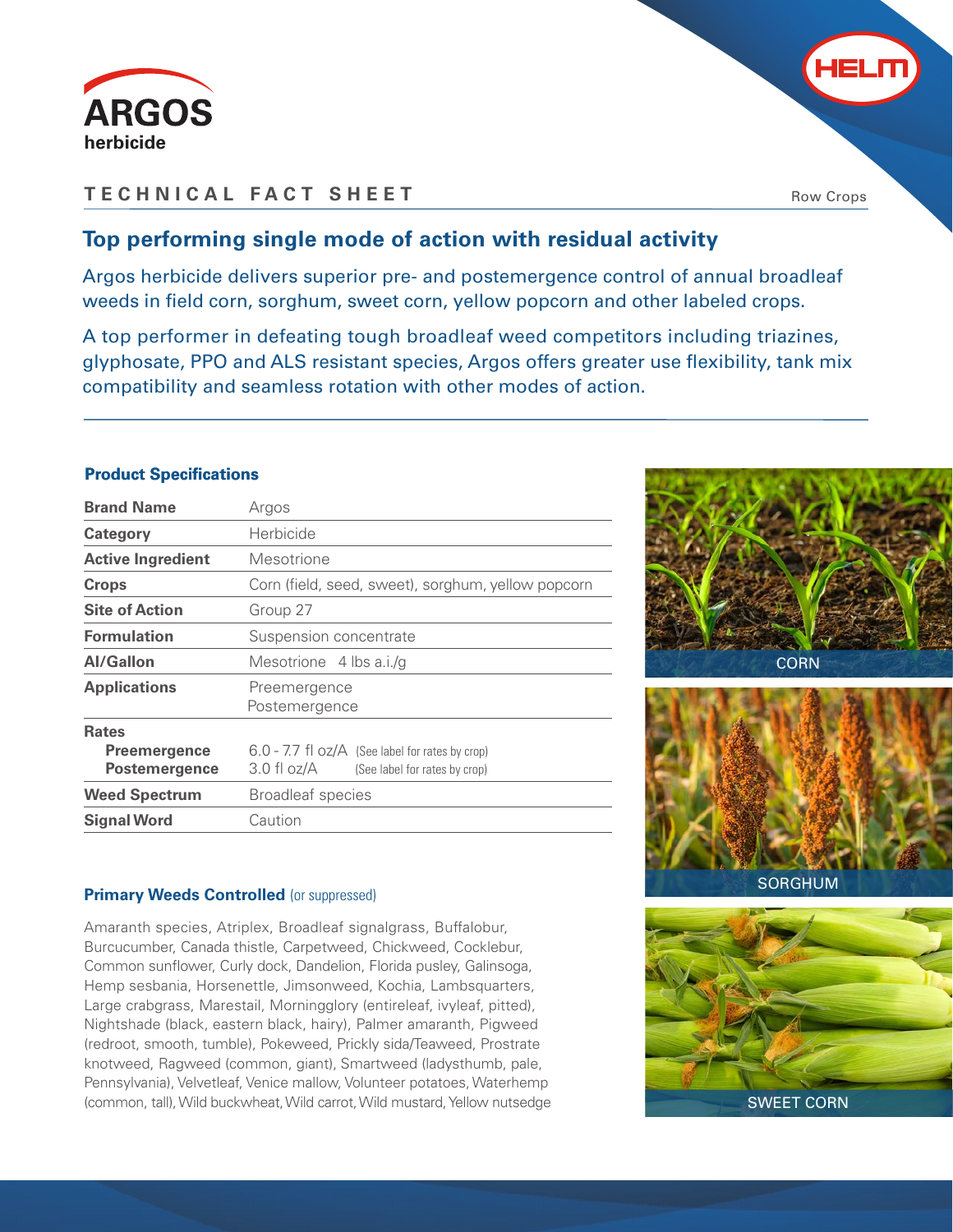

## **TECHNICAL FACT SHEET**

Row Crops

# **Top performing single mode of action with residual activity**

Argos herbicide delivers superior pre- and postemergence control of annual broadleaf weeds in field corn, sorghum, sweet corn, yellow popcorn and other labeled crops.

A top performer in defeating tough broadleaf weed competitors including triazines, glyphosate, PPO and ALS resistant species, Argos offers greater use flexibility, tank mix compatibility and seamless rotation with other modes of action.

### **Product Specifications**

| <b>Brand Name</b>                                           | Argos                                                                                               |  |  |  |  |  |
|-------------------------------------------------------------|-----------------------------------------------------------------------------------------------------|--|--|--|--|--|
| Category                                                    | Herbicide                                                                                           |  |  |  |  |  |
| <b>Active Ingredient</b>                                    | Mesotrione                                                                                          |  |  |  |  |  |
| <b>Crops</b>                                                | Corn (field, seed, sweet), sorghum, yellow popcorn                                                  |  |  |  |  |  |
| <b>Site of Action</b>                                       | Group 27                                                                                            |  |  |  |  |  |
| <b>Formulation</b>                                          | Suspension concentrate                                                                              |  |  |  |  |  |
| <b>Al/Gallon</b>                                            | Mesotrione 4 lbs a.i./q                                                                             |  |  |  |  |  |
| <b>Applications</b>                                         | Preemergence<br>Postemergence                                                                       |  |  |  |  |  |
| <b>Rates</b><br><b>Preemergence</b><br><b>Postemergence</b> | $6.0 - 7.7$ fl $oz/A$ (See label for rates by crop)<br>3.0 fl oz/A<br>(See label for rates by crop) |  |  |  |  |  |
| <b>Weed Spectrum</b>                                        | <b>Broadleaf species</b>                                                                            |  |  |  |  |  |
| <b>Signal Word</b>                                          | Caution                                                                                             |  |  |  |  |  |

#### **Primary Weeds Controlled (or suppressed)**

Amaranth species, Atriplex, Broadleaf signalgrass, Buffalobur, Burcucumber, Canada thistle, Carpetweed, Chickweed, Cocklebur, Common sunflower, Curly dock, Dandelion, Florida pusley, Galinsoga, Hemp sesbania, Horsenettle, Jimsonweed, Kochia, Lambsquarters, Large crabgrass, Marestail, Morningglory (entireleaf, ivyleaf, pitted), Nightshade (black, eastern black, hairy), Palmer amaranth, Pigweed (redroot, smooth, tumble), Pokeweed, Prickly sida/Teaweed, Prostrate knotweed, Ragweed (common, giant), Smartweed (ladysthumb, pale, Pennsylvania), Velvetleaf, Venice mallow, Volunteer potatoes, Waterhemp (common, tall), Wild buckwheat, Wild carrot, Wild mustard, Yellow nutsedge